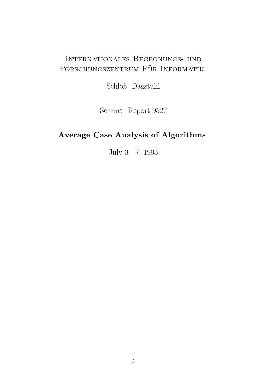# Internationales Begegnungs- und FORSCHUNGSZENTRUM FÜR INFORMATIK

Schloß Dagstuhl

Seminar Report <sup>9527</sup>

# Average Case Analysis of Algorithms

July <sup>3</sup> - 7, <sup>1995</sup>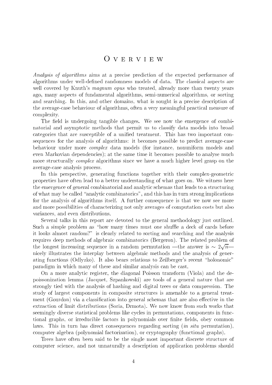## <sup>O</sup> <sup>v</sup> <sup>e</sup> <sup>r</sup> <sup>v</sup> <sup>i</sup> <sup>e</sup> <sup>w</sup>

Analysis of algorithms aims at a precise prediction of the expected performance of algorithms under well-defined randomness models of data. The classical aspects are well covered by Knuth's *magnum opus* who treated, already more than twenty years ago, many aspects of fundamental algorithms, semi-numerical algorithms, or sorting and searching. In this, and other domains, what is sought is a precise description of the average-case behaviour of algorithms, often a very meaningful practical measure of complexity.

The field is undergoing tangible changes. We see now the emergence of combinatorial and asymptotic methods that permit us to classify data models into broad categories that are susceptible of a unied treatment. This has two important consequences for the analysis of algorithms: it becomes possible to predict average-case behaviour under more complex data models (for instance, nonuniform models and even Markovian dependencies); at the same time it becomes possible to analyse much more structurally *complex* algorithms since we have a much higher level grasp on the average-case analysis process.

In this perspective, generating functions together with their complex-geometric properties have often lead to a better understanding of what goes on. We witness here the emergence of general combinatorial and analytic schemas that leads to a structuring of what may be called "analytic combinatorics", and this has in turn strong implications for the analysis of algorithms itself. A further consequence is that we now see more and more possibilities of characterizing not only averages of computation costs but also variances, and even distributions.

Several talks in this report are devoted to the general methodology just outlined. Such a simple problem as "how many times must one shuffle a deck of cards before it looks almost random?" is clearly related to sorting and searching and the analysis requires deep methods of algebraic combinatorics (Bergeron). The related problem of the longest increasing sequence in a random permutation  $\sim$  random permutation  $\sim$ provide a state of the state of the state of the state of the state of the state of the state of the state of the state of the state of the state of the state of the state of the state of the state of the state of the stat nicely illustrates the interplay between algebraic methods and the analysis of generating functions (Odlyzko). It also bears relations to Zeilberger's recent \holonomic" paradigm in which many of these and similar analysis can be cast.

On a more analytic register, the diagonal Poisson transform (Viola) and the depoissonization lemma (Jacquet, Szpankowski) are tools of a general nature that are strongly tied with the analysis of hashing and digital trees or data compression. The study of largest components in composite structures is amenable to a general treatment (Gourdon) via a classification into general schemas that are also effective in the extraction of limit distributions (Soria, Drmota). We now know from such works that seemingly diverse statistical problems like cycles in permutations, components in functional graphs, or irreducible factors in polynomials over finite fields, obey common laws. This in turn has direct consequences regarding sorting *(in situ* permutation), computer algebra (polynomial factorization), or cryptography (functional graphs).

Trees have often been said to be the single most important discrete structure of computer science, and not unnaturally a description of application problems should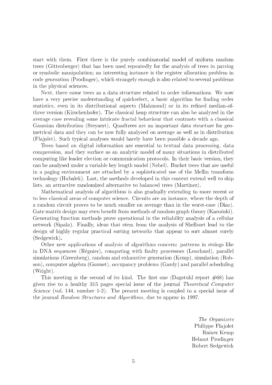start with them. First there is the purely combinatorial model of uniform random trees (Gittenberger) that has been used repeatedly for the analysis of trees in parsing or symbolic manipulation; an interesting instance is the register allocation problem in code generation (Prodinger), which strangely enough is also related to several problems in the physical sciences.

Next, there come trees as a data structure related to order informations. We now have a very precise understanding of quickselect, a basic algorithm for finding order statistics, even in its distributional aspects (Mahmoud) or in its refined median-ofthree version (Kirschenhofer). The classical heap structure can also be analyzed in the average case revealing some intricate fractal behaviour that contrasts with a classical Gaussian distribution (Steyaert). Quadtrees are an important data structure for geometrical data and they can be now fully analyzed on average as well as in distribution (Fla jolet). Such typical analyses would barely have been possible a decade ago.

Trees based on digital information are essential to textual data processing, data compression, and they surface as an analytic model of many situations in distributed computing like leader election or communication protocols. In their basic version, they can be analysed under a variable key length model (Nebel). Bucket trees that are useful in a paging environment are attacked by a sophisticated use of the Mellin transform technology (Hubalek). Last, the methods developed in this context extend well to skip lists, an attractive randomized alternative to balanced trees (Martinez).

Mathematical analysis of algorithms is also gradually extending to more recent or to less classical areas of computer science. Circuits are an instance, where the depth of a random circuit proves to be much smaller on average than in the worst-case (Diaz). Gate matrix design may even benefit from methods of random graph theory (Karonski). Generating function methods prove operational in the reliability analysis of a cellular network (Sipala). Finally, ideas that stem from the analysis of Shellsort lead to the design of highly regular practical sorting networks that appear to sort almost surely (Sedgewick).

Other new applications of analysis of algorithms concern: patterns in strings like in DNA sequences (Regnier), computing with faulty processors (Louchard), parallel simulations (Greenberg), random and exhaustive generation (Kemp), simulation (Robson), computer algebra (Gonnet), occupancy problems (Gardy) and parallel scheduling (Wright).

This meeting is the second of its kind. The first one (Dagstuhl report  $\#68$ ) has given rise to a healthy 315 pages special issue of the journal Theoretical Computer Science (vol. 144, number 1-2). The present meeting is coupled to a special issue of the journal Random Structures and Algorithms, due to appear in 1997.

> The Organizers Philippe Fla jolet Rainer Kemp Helmut Prodinger Robert Sedgewick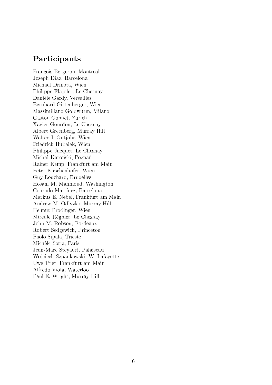## Participants

Francois Bergeron, Montreal Joseph Díaz, Barcelona Michael Drmota, Wien Philippe Flajolet, Le Chesnay Daniele Gardy, Versailles Bernhard Gittenberger, Wien Massimiliano Goldwurm, Milano Gaston Gonnet, Zürich Xavier Gourdon, Le Chesnay Albert Greenberg, Murray Hill Walter J. Gutjahr, Wien Friedrich Hubalek, Wien Philippe Jacquet, Le Chesnay Michal Karoński, Poznań Rainer Kemp, Frankfurt am Main Peter Kirschenhofer, Wien Guy Louchard, Bruxelles Hosam M. Mahmoud, Washington Conrado Martínez, Barcelona Markus E. Nebel, Frankfurt am Main Andrew M. Odlyzko, Murray Hill Helmut Prodinger, Wien Mireille Regnier, Le Chesnay John M. Robson, Bordeaux Robert Sedgewick, Princeton Paolo Sipala, Trieste Michele Soria, Paris Jean-Marc Steyaert, Palaiseau Wo jciech Szpankowski, W. Lafayette Uwe Trier, Frankfurt am Main Alfredo Viola, Waterloo Paul E. Wright, Murray Hill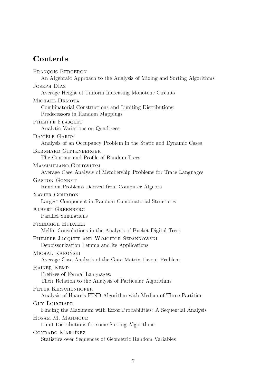# Contents

| FRANÇOIS BERGERON<br>An Algebraic Approach to the Analysis of Mixing and Sorting Algorithms                    |  |
|----------------------------------------------------------------------------------------------------------------|--|
| JOSEPH DÍAZ                                                                                                    |  |
| Average Height of Uniform Increasing Monotone Circuits                                                         |  |
| MICHAEL DRMOTA<br>Combinatorial Constructions and Limiting Distributions:<br>Predecessors in Random Mappings   |  |
| PHILIPPE FLAJOLET<br>Analytic Variations on Quadtrees                                                          |  |
| DANIÈLE GARDY<br>Analysis of an Occupancy Problem in the Static and Dynamic Cases                              |  |
| BERNHARD GITTENBERGER<br>The Contour and Profile of Random Trees                                               |  |
| MASSIMILIANO GOLDWURM<br>Average Case Analysis of Membership Problems for Trace Languages                      |  |
| <b>GASTON GONNET</b><br>Random Problems Derived from Computer Algebra                                          |  |
| <b>XAVIER GOURDON</b><br>Largest Component in Random Combinatorial Structures                                  |  |
| <b>ALBERT GREENBERG</b><br>Parallel Simulations                                                                |  |
| <b>FRIEDRICH HUBALEK</b><br>Mellin Convolutions in the Analysis of Bucket Digital Trees                        |  |
| PHILIPPE JACQUET AND WOJCIECH SZPANKOWSKI<br>Depoissonization Lemma and its Applications                       |  |
| MICHAL KAROŃSKI<br>Average Case Analysis of the Gate Matrix Layout Problem                                     |  |
| <b>RAINER KEMP</b><br>Prefixes of Formal Languages:<br>Their Relation to the Analysis of Particular Algorithms |  |
| PETER KIRSCHENHOFER<br>Analysis of Hoare's FIND-Algorithm with Median-of-Three Partition                       |  |
| <b>GUY LOUCHARD</b><br>Finding the Maximum with Error Probabilities: A Sequential Analysis                     |  |
| HOSAM M. MAHMOUD<br>Limit Distributions for some Sorting Algorithms                                            |  |
| CONRADO MARTÍNEZ<br>Statistics over Sequences of Geometric Random Variables                                    |  |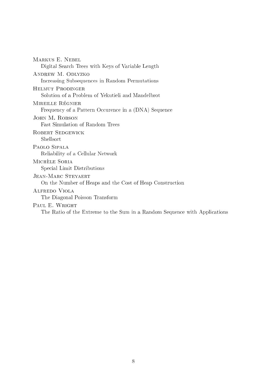| MARKUS E. NEBEL                                                            |
|----------------------------------------------------------------------------|
| Digital Search Trees with Keys of Variable Length                          |
| ANDREW M. ODLYZKO                                                          |
| Increasing Subsequences in Random Permutations                             |
| HELMUT PRODINGER                                                           |
| Solution of a Problem of Yekutieli and Mandelbrot                          |
| MIREILLE RÉGNIER                                                           |
| Frequency of a Pattern Occurence in a (DNA) Sequence                       |
| JOHN M. ROBSON                                                             |
| <b>Fast Simulation of Random Trees</b>                                     |
| ROBERT SEDGEWICK                                                           |
| Shellsort                                                                  |
| PAOLO SIPALA                                                               |
| Reliability of a Cellular Network                                          |
| MICHÈLE SORIA                                                              |
| Special Limit Distributions                                                |
| <b>JEAN-MARC STEYAERT</b>                                                  |
| On the Number of Heaps and the Cost of Heap Construction                   |
| ALFREDO VIOLA                                                              |
| The Diagonal Poisson Transform                                             |
| PAUL E. WRIGHT                                                             |
| The Ratio of the Extreme to the Sum in a Random Sequence with Applications |
|                                                                            |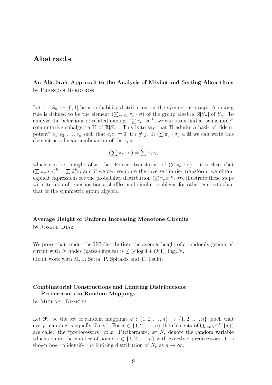## Abstracts

## An Algebraic Approach to the Analysis of Mixing and Sorting Algorithms by FRANÇOIS BERGERON

Let  $\pi : S_n \to [0,1]$  be a probability distribution on the symmetric group. A mixing rule is dened to be the element ( <sup>P</sup>  $\overline{O}$   $\overline{O}$   $\overline{O}$   $\overline{O}$   $\overline{O}$   $\overline{O}$   $\overline{O}$   $\overline{O}$   $\overline{O}$   $\overline{O}$   $\overline{O}$   $\overline{O}$   $\overline{O}$   $\overline{O}$   $\overline{O}$   $\overline{O}$   $\overline{O}$   $\overline{O}$   $\overline{O}$   $\overline{O}$   $\overline{O}$   $\overline{O}$   $\overline{O}$   $\overline{O}$   $\overline{$ analyze the behaviour of related mixings  $(\sum \pi_{\sigma} \cdot \sigma)^{k}$ , we can often find a "semisimple" commutative subalgebra  $\mathbb{H}$  of  $\mathbb{R}[S_n]$ . This is to say that  $\mathbb{H}$  admits a basis of "idempotent"  $e_1, e_2, \ldots, e_n$  such that  $e_i e_j = 0$ , if  $i \neq j$ . If  $(\sum \pi_\sigma \cdot \sigma) \in \mathbb{H}$  we can write this element as a linear combination of the  $e_i$ 's:

$$
\left(\sum \pi_{\sigma}\cdot \sigma\right)=\sum \hat{\pi}_i e_i,
$$

which can be thought of as the transformation of  $\Gamma$ <sup>P</sup>  $\mathcal{O}$  is a function of the contract of the contract of the contract of the contract of the contract of the contract of the contract of the contract of the contract of the contract of the contract of the contract of the **Service** <sup>P</sup>  $\pi_{\sigma} \cdot o$  )  $=$  $\sum \hat{\pi}_i^k e_i$  and if we can compute the inverse Fourier transform, we obtain explicit expressions for the probability distribution  $(\sum \pi_{\sigma}\sigma)^{k}$ . We illustrate these steps with iterates of transpositions, shuffles and similar problems for other contexts than that of the symmetric group algebra.

# Average Height of Uniform Increasing Monotone Circuits

by JOSEPH DÍAZ

We prove that, under the UC distribution, the average height of a randomly generated circuit with N nodes (gates+inputs) is  $\leq$  (e log 4 + O(1)) log<sub>2</sub> N. (Joint work with M. J. Serra, P. Spirakis and T. Tsuki)

### Combinatorial Constructions and Limiting Distributions: Predecessors in Random Mappings

by MICHAEL DRMOTA

Let  $\mathcal{F}_n$  be the set of random mappings  $\varphi : \{1, 2, \ldots, n\} \to \{1, 2, \ldots, n\}$  (such that every mapping is equally likely). For  $x \in \{1, 2, ..., n\}$  the elements of  $\bigcup_{k>0} \varphi^{-k}(\{x\})$ are called the "predecessors" of x. Furthermore, let  $N_r$  denote the random variable which counts the number of points  $x \in \{1, 2, \ldots, n\}$  with exactly r predecessors. It is shown how to identify the limiting distribution of  $N_r$  as  $n \to \infty$ .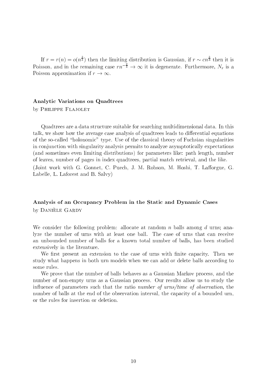If  $r = r(n) = o(n^{\frac{1}{3}})$  then the limiting distribution is Gaussian, if  $r \sim cn^{\frac{1}{3}}$  then it is Poisson, and in the remaining case  $rn^{-\frac{1}{3}} \to \infty$  it is degenerate. Furthermore,  $N_r$  is a Poisson approximation if  $r \to \infty$ .

### Analytic Variations on Quadtrees

by PHILIPPE FLAJOLET

Quadtrees are a data structure suitable for searching multidimensional data. In this talk, we show how the average case analysis of quadtrees leads to differential equations of the so-called \holonomic" type. Use of the classical theory of Fuchsian singularities in conjunction with singularity analysis permits to analyze asymptotically expectations (and sometimes even limiting distributions) for parameters like: path length, number of leaves, number of pages in index quadtrees, partial match retrieval, and the like. (Joint work with G. Gonnet, C. Puech, J. M. Robson, M. Hoshi, T. Lafforgue, G. Labelle, L. Laforest and B. Salvy)

## Analysis of an Occupancy Problem in the Static and Dynamic Cases by DANIELE GARDY

We consider the following problem: allocate at random n balls among d urns; analyze the number of urns with at least one ball. The case of urns that can receive an unbounded number of balls for a known total number of balls, has been studied extensively in the literature.

We first present an extension to the case of urns with finite capacity. Then we study what happens in both urn models when we can add or delete balls according to some rules.

We prove that the number of balls behaves as a Gaussian Markov process, and the number of non-empty urns as a Gaussian process. Our results allow us to study the influence of parameters such that the ratio number of urns/time of observation, the number of balls at the end of the observation interval, the capacity of a bounded urn, or the rules for insertion or deletion.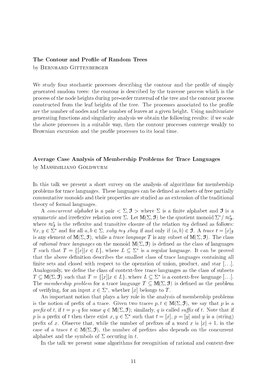### The Contour and Profile of Random Trees

by BERNHARD GITTENBERGER

We study four stochastic processes describing the contour and the profile of simply generated random trees: the contour is described by the traverse process which is the process of the node heights during pre-order traversal of the tree and the contour process constructed from the leaf heights of the tree. The processes associated to the profile are the number of nodes and the number of leaves at a given height. Using multivariate generating functions and singularity analysis we obtain the following results: if we scale the above processes in a suitable way, then the contour processes converge weakly to Brownian excursion and the profile processes to its local time.

## Average Case Analysis of Membership Problems for Trace Languages by Massimiliano Goldwurm

In this talk we present a short survey on the analysis of algorithms for membership problems for trace languages. These languages can be defined as subsets of free partially commutative monoids and their properties are studied as an extension of the traditional theory of formal languages.

A concurrent alphabet is a pair  $\langle \Sigma, \mathcal{I} \rangle$  where  $\Sigma$  is a finite alphabet and **J** is a symmetric and irrenexive relation over  $\vartriangle$ . Let  $\mathtt{IML}(\vartriangle, \mathbf{J})$  be the quotient monoid  $\vartriangle/\approx_{\mathbf{\mathcal{G}}},$ where  $\approx_{\text{g}}$  is the renexive and transitive closure of the relation  $\approx_{\text{g}}$  defined as follows:  $\forall x, y \in \mathcal{Z}$  and for all  $a, b \in \mathcal{Z}$ ,  $xay \approx g$   $xway$  if and only if  $(a, b) \in \mathcal{J}$ . A trace  $t = |x|g$ is any element of  $M(\Sigma, \mathcal{I})$ , while a *trace language T* is any subset of  $M(\Sigma, \mathcal{I})$ . The class of rational trace languages on the monoid  $M(\Sigma, \mathcal{I})$  is defined as the class of languages I such that  $T = \{||x||x \in L\}$ , where  $L \subseteq \Sigma$  is a regular language. It can be proved that the above definition describes the smallest class of trace languages containing all finite sets and closed with respect to the operation of union, product, and star  $[...]$ . Analogously, we define the class of context-free trace languages as the class of subsets  $I \subseteq \mathbb{M}$   $\sqcup$   $\sqcup$ ,  $J$  ) such that  $I \equiv \{ |x| | x \in L \}$ , where  $L \subseteq \vartriangle$  is a context-free language  $| \dots |$ . The membership problem for a trace language  $T \subseteq M(\Sigma, \mathcal{I})$  is defined as the problem of verifying, for an input  $x\in\mathbb{Z}$  , whether  $|x|$  belongs to  $I$  .

An important notion that plays a key role in the analysis of membership problems is the notion of prefix of a trace. Given two traces  $p, t \in M(\Sigma, \mathcal{I})$ , we say that p is a prefix of t, if  $t = p \cdot q$  for some  $q \in M(\Sigma, \mathcal{I})$ ; similarly, q is called suffix of t. Note that if  $p$  is a prefix of t then there exist  $x, y \in \mathbb{Z}^+$  such that  $t \equiv |x|, \ p \equiv |y|$  and y is a (string) prefix of x. Observe that, while the number of prefixes of a word x is  $|x|+1$ , in the case of a trace  $t \in M(\Sigma, \mathcal{I})$ , the number of prefixes also depends on the concurrent alphabet and the symbols of  $\Sigma$  occuring in t.

In the talk we present some algorithms for recognition of rational and context-free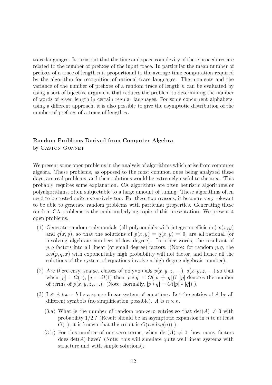trace languages. It turns out that the time and space complexity of these procedures are related to the number of prefixes of the input trace. In particular the mean number of prefixes of a trace of length  $n$  is proportional to the average time computation required by the algorithm for recognition of rational trace languages. The moments and the variance of the number of prefixes of a random trace of length  $n$  can be evaluated by using a sort of bijective argument that reduces the problem to determining the number of words of given length in certain regular languages. For some concurrent alphabets, using a different approach, it is also possible to give the asymptotic distribution of the number of prefixes of a trace of length  $n$ .

### Random Problems Derived from Computer Algebra

by GASTON GONNET

We present some open problems in the analysis of algorithms which arise from computer algebra. These problems, as opposed to the most common ones being analyzed these days, are real problems, and their solutions would be extremely useful to the area. This probably requires some explanation. CA algorithms are often heuristic algorithms or polyalgorithms, often sub jectable to a large amount of tuning. These algorithms often need to be tested quite extensively too. For these two reasons, it becomes very relevant to be able to generate random problems with particular properties. Generating these random CA problems is the main underlying topic of this presentation. We present 4 open problems.

- (1) Generate random polynomials (all polynomials with integer coefficients)  $p(x, y)$ and  $q(x, y)$ , so that the solutions of  $p(x, y) = q(x, y) = 0$ , are all rational (or involving algebraic numbers of low degree). In other words, the resultant of  $p, q$  factors into all linear (or small degree) factors. (Note: for random  $p, q$ , the  $res(p, q, x)$  with exponentially high probability will not factor, and hence all the solutions of the system of equations involve a high degree algebraic number).
- (2) Are there easy, sparse, classes of polynomials  $p(x, y, z, \ldots), q(x, y, z, \ldots)$  so that  $\alpha$  is the contract the contract  $\alpha$  in the number of  $\alpha$  is the number of  $\alpha$  in the number of  $\alpha$ of terms of  $p(x, y, z, \ldots)$ . (Note: normally,  $|p * q| = O(|p| * |q|)$ ).
- (3) Let  $A * x = b$  be a sparse linear system of equations. Let the entries of A be all dierent symbols (no simplication possible). A is no simplication possible, a is n - n. A is n - n. A is n - n.
	- (3.a) What is the number of random non-zero entries so that  $det(A) \neq 0$  with probability  $1/2$  ? (Result should be an asymptotic expansion in n to at least  $O(1)$ , it is known that the result is  $O(n * log(n))$ .
	- (3.b) For this number of non-zero terms, when  $\det(A) \neq 0$ , how many factors does  $\det(A)$  have? (Note: this will simulate quite well linear systems with structure and with simple solutions).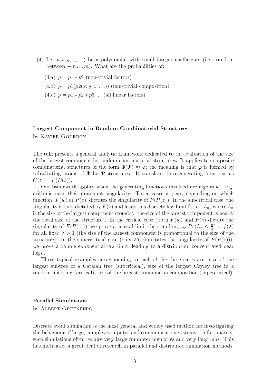- (4) Let  $p(x, y, z, ...)$  be a polynomial with small integer coefficients (i.e. random between  $-m \ldots m$ . What are the probabilities of:
	- (4.a)  $p = p1 * p2$  (non-trivial factors)
	- (4.b)  $p = p1(p2(x, y, z, \ldots))$  (non-trivial composition)
	- $(4.c)$   $p = p1 * p2 * p3 \dots$  (all linear factors)

### Largest Component in Random Combinatorial Structures

by XAVIER GOURDON

The talk presents a general analytic framework dedicated to the evaluation of the size of the largest component in random combinatorial structures. It applies to composite combinatorial structures of the form  $\Phi(\mathcal{P}) \approx \varphi$ ; the meaning is that  $\varphi$  is formed by substituting atoms of  $\Phi$  by **P**-structures. It translates into generating functions as  $C(z) = F(P(z)).$ 

Our framework applies when the generating functions involved are algebraic - logarithmic near their dominant singularity. Three cases appear, depending on which function,  $F(w)$  or  $P(z)$ , dictates the singularity of  $F(P(z))$ . In the subcritical case, the singularity is only dictated by  $P(z)$  and leads to a discrete law limit for  $n-L_n$ , where  $L_n$ is the size of the largest component (roughly, the size of the largest component is nearly the total size of the structure). In the critical case (both  $F(w)$  and  $P(z)$  dictate the singularity of  $F\left(F(z)\right)$ , we prove a central limit theorem  $\lim_{n\to\infty} Fr(L_n \leq \frac{1}{2}) = f(\lambda)$ for all fixed  $\lambda > 1$  (the size of the largest component is proportional to the size of the structure). In the supercritical case (only  $F(w)$  dictates the singularity of  $F(P(z))$ ), we prove a double exponential law limit, leading to a distribution concentrated near  $\log n$ .

Three typical examples corresponding to each of the three cases are: size of the largest subtree of a Catalan tree (subcritical), size of the largest Cayley tree in a random mapping (critical), size of the largest summand in composition (supercritical).

### Parallel Simulations

by ALBERT GREENBERG

Discrete event simulation is the most general and widely used method for investigating the behaviour of large, complex computer and communication systems. Unfortunately, such simulations often require very large computer memories and very long runs. This has motivated a great deal of research in parallel and distributed simulation methods.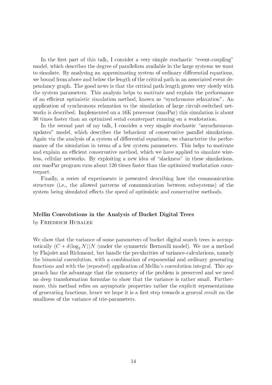In the first part of this talk, I consider a very simple stochastic "event-coupling" model, which describes the degree of parallelism available in the large systems we want to simulate. By analysing an approximating system of ordinary differential equations, we bound from above and below the length of the critical path in an associated event dependancy graph. The good news is that the critical path length grows very slowly with the system parameters. This analysis helps to motivate and explain the performance of an efficient optimistic simulation method, known as "synchronous relaxation". An application of synchronous relaxation to the simulation of large circuit-switched networks is described. Implemented on a 16K processor (masPar) this simulation is about 30 times faster than an optimized serial counterpart running on a workstation.

In the second part of my talk, I consider a very simple stochastic "asynchronousupdates" model, which describes the behaviour of conservative parallel simulations. Again via the analysis of a system of differential equations, we characterize the performance of the simulation in terms of a few system parameters. This helps to motivate and explain an efficient conservative method, which we have applied to simulate wireless, cellular networks. By exploiting a new idea of "slackness" in these simulations, our masPar program runs about 120 times faster than the optimized workstation counterpart.

Finally, a series of experiments is presented describing how the communication structure (i.e., the allowed patterns of communication between subsystems) of the system being simulated effects the speed of optimistic and conservative methods.

## Mellin Convolutions in the Analysis of Bucket Digital Trees by FRIEDRICH HUBALEK

We show that the variance of some parameters of bucket digital search trees is asymptotically  $(C + \delta(\log_2 N))N$  (under the symmetric Bernoulli model). We use a method by Fla jolet and Richmond, but handle the pecularities of variance-calculations, namely the binomial convolution, with a combination of exponential and ordinary generating functions and with the (repeated) application of Mellin's convolution integral. This approach has the advantage that the symmetry of the problem is preserved and we need no deep transformation formulae to show that the variance is rather small. Furthermore, this method relies on asymptotic properties rather the explicit representations of generating functions, hence we hope it is a first step towards a general result on the smallness of the variance of trie-parameters.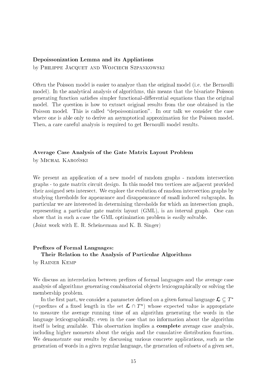### Depoissonization Lemma and its Appliations

by PHILIPPE JACQUET AND WOJCIECH SZPANKOWSKI

Often the Poisson model is easier to analyze than the original model (i.e. the Bernoulli model). In the analytical analysis of algorithms, this means that the bivariate Poisson generating function satisfies simpler functional-differential equations than the original model. The question is how to extract original results from the one obtained in the Poisson model. This is called "depoissonization". In our talk we consider the case where one is able only to derive an asymptotical approximation for the Poisson model. Then, a care careful analysis is required to get Bernoulli model results.

## Average Case Analysis of the Gate Matrix Layout Problem

by MICHAL KAROŃSKI

We present an application of a new model of random graphs - random intersection graphs - to gate matrix circuit design. In this model two vertices are adjacent provided their assigned sets intersect. We explore the evolution of random intersection graphs by studying thresholds for appearance and disappearance of small induced subgraphs. In particular we are interested in determining thresholds for which an intersection graph, representing a particular gate matrix layout (GML), is an interval graph. One can show that in such a case the GML optimization problem is easily solvable.

(Joint work with E. R. Scheinerman and K. B. Singer)

## Prefixes of Formal Languages: Their Relation to the Analysis of Particular Algorithms

by Rainer Kemp

We discuss an interrelation between prefixes of formal languages and the average case analysis of algorithms generating combinatorial objects lexicographically or solving the membership problem.

In the first part, we consider a parameter defined on a given formal language  $\mathcal{L} \subseteq T^*$  $\lambda = 0$  ) (=prenxes of a nxed length in the set  $\lambda + T$  ) whose expected value is appropriate to measure the average running time of an algorithm generating the words in the language lexicographically, even in the case that no information about the algorithm itself is being available. This observation implies a complete average case analysis, including higher moments about the origin and the cumulative distribution function. We demonstrate our results by discussing various concrete applications, such as the generation of words in a given regular language, the generation of subsets of a given set,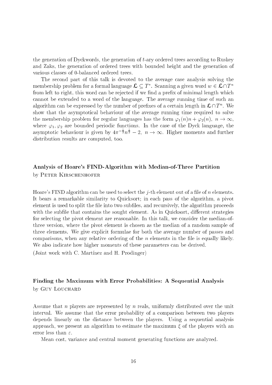the generation of Dyckwords, the generation of t-ary ordered trees according to Ruskey and Zaks, the generation of ordered trees with bounded height and the generation of various classes of 0-balanced ordered trees.

The second part of this talk is devoted to the average case analysis solving the membership problem for a formal language  $\lambda \subset I$  ). Scanning a given word  $w \in \lambda \cap I$  " from left to right, this word can be rejected if we find a prefix of minimal length which cannot be extended to a word of the language. The average running time of such an algorithm can be expressed by the number of prefixes of a certain length in  $\omega$  if  $n$  , we show that the asymptotical behaviour of the average running time required to solve the membership problem for regular languages has the form  $\varphi_1(n)n + \varphi_2(n), n \to \infty$ . where  $\varphi_1, \varphi_2$  are bounded periodic functions. In the case of the Dyck language, the asymptotic behaviour is given by  $4\pi^{-\frac{1}{2}}n^{\frac{1}{2}} - 2$ ,  $n \to \infty$ . Higher moments and further distribution results are computed, too.

## Analysis of Hoare's FIND-Algorithm with Median-of-Three Partition by PETER KIRSCHENHOFER

Hoare's FIND algorithm can be used to select the *j*-th element out of a file of *n* elements. It bears a remarkable similarity to Quicksort; in each pass of the algorithm, a pivot element is used to split the file into two subfiles, and recursively, the algorithm proceeds with the subfile that contains the sought element. As in Quicksort, different strategies for selecting the pivot element are reasonable. In this talk, we consider the median-ofthree version, where the pivot element is chosen as the median of a random sample of three elements. We give explicit formulae for both the average number of passes and comparisons, when any relative ordering of the  $n$  elements in the file is equally likely. We also indicate how higher moments of these parameters can be derived.

(Joint work with C. Martinez and H. Prodinger)

## Finding the Maximum with Error Probabilities: A Sequential Analysis by GUY LOUCHARD

Assume that n players are represented by n reals, uniformly distributed over the unit interval. We assume that the error probability of a comparison between two players depends linearly on the distance between the players. Using a sequential analysis approach, we present an algorithm to estimate the maximum  $\xi$  of the players with an error less than  $\varepsilon$ .

Mean cost, variance and central moment generating functions are analyzed.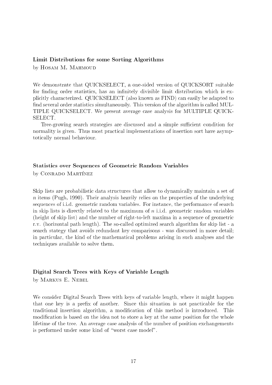### Limit Distributions for some Sorting Algorithms

by HOSAM M. MAHMOUD

We demonstrate that QUICKSELECT, a one-sided version of QUICKSORT suitable for finding order statistics, has an infinitely divisible limit distribution which is explicitly characterized. QUICKSELECT (also known as FIND) can easily be adapted to find several order statistics simultaneously. This version of the algorithm is called MUL-TIPLE QUICKSELECT. We present average case analysis for MULTIPLE QUICK-SELECT.

Tree-growing search strategies are discussed and a simple sufficient condition for normality is given. Thus most practical implementations of insertion sort have asymptotically normal behaviour.

### Statistics over Sequences of Geometric Random Variables

by CONRADO MARTÍNEZ

Skip lists are probabilistic data structures that allow to dynamically maintain a set of  $n$  items (Pugh, 1990). Their analysis heavily relies on the properties of the underlying sequences of i.i.d. geometric random variables. For instance, the performance of search in skip lists is directly related to the maximum of  $n$  i.i.d. geometric random variables (height of skip list) and the number of right-to-left maxima in a sequence of geometric r.v. (horizontal path length). The so-called optimized search algorithm for skip list - a search stategy that avoids redundant key comparisons - was discussed in more detail; in particular, the kind of the mathematical problems arising in such analyses and the techniques available to solve them.

### Digital Search Trees with Keys of Variable Length

by MARKUS E. NEBEL

We consider Digital Search Trees with keys of variable length, where it might happen that one key is a prex of another. Since this situation is not practicable for the traditional insertion algorithm, a modification of this method is introduced. This modification is based on the idea not to store a key at the same position for the whole lifetime of the tree. An average case analysis of the number of position exchangements is performed under some kind of "worst case model".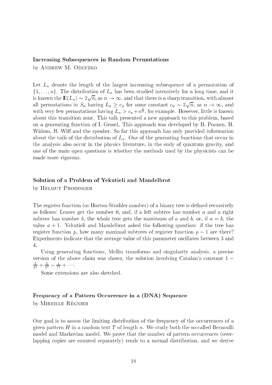#### Increasing Subsequences in Random Permutations

by ANDREW M. ODLYZKO

Let  $L_n$  denote the length of the largest increasing subsequence of a permutation of  $\{1,\ldots,n\}$ . The distribution of  $L_n$  has been studied intensively for a long time, and it is known the  $\alpha = 1$  and  $\alpha = 1$ <u>provided and the second second and the second second second and second second second second second second second second second second second second second second second second second second second second second second sec</u> n, as it is a signed that there is a sharp transition, with almost  $\alpha$ all permutations in Sn having  $\alpha = n$  , we can forward constant constant constant  $\alpha = n$ <u>provided and the second second and the second second in the second second in the second second in the second second in the second second in the second second in the second second in the second second in the second second </u> n, as n ! 1, and with very few permutations having  $L_n > c_n + n^{\frac{1}{3}}$ , for example. However, little is known about this transition zone. This talk presented a new approach to this problem, based on a generating function of I. Gessel. This approach was developed by B. Poonen, H. Widom, H. Wilf and the speaker. So far this approach has only provided information about the tails of the distribution of  $L_n$ . One of the generating functions that occur in the analysis also occur in the physics literature, in the sudy of quantum gravity, and one of the main open questions is whether the methods used by the physicists can be made more rigorous.

### Solution of a Problem of Yekutieli and Mandelbrot

by HELMUT PRODINGER

The register function (or Horton-Strahler number) of a binary tree is defined recursively as follows: Leaves get the number 0, and, if a left subtree has number  $a$  and a right subtree has number b, the whole tree gets the maximum of a and b, or, if  $a = b$ , the value  $a + 1$ . Yekutieli and Mandelbrot asked the following question: if the tree has register function p, how many maximal subtrees of register function  $p-1$  are there? Experiments indicate that the average value of this parameter oscillates between 3 and 4.

Using generating functions, Mellin transforms and singularity analysis, a precise version of the above claim was shown, the solution involving Catalan's constant 1  $\frac{1}{3^2} + \frac{1}{5^2} - \frac{1}{7^2} + \cdots$ 

Some extensions are also sketched.

## Frequency of a Pattern Occurrence in a (DNA) Sequence by MIREILLE RÉGNIER

Our goal is to assess the limiting distribution of the frequency of the occurrences of a given pattern H in a random text T of length n. We study both the so-called Bernoulli model and Markovian model. We prove that the number of pattern occurrences (overlapping copies are counted separately) tends to a normal distribution, and we derive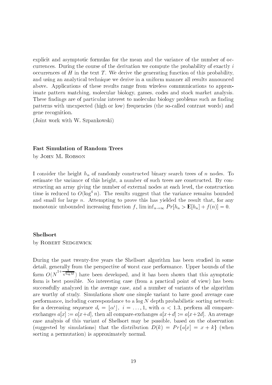explicit and asymptotic formulas for the mean and the variance of the number of occurrences. During the course of the derivation we compute the probability of exactly i occurrences of  $H$  in the text  $T$ . We derive the generating function of this probability, and using an analytical technique we derive in a uniform manner all results announced above. Applications of these results range from wireless communications to approximate pattern matching, molecular biology, games, codes and stock market analysis. These findings are of particular interest to molecular biology problems such as finding patterns with unexpected (high or low) frequencies (the so-called contrast words) and gene recognition.

(Joint work with W. Szpankowski)

### Fast Simulation of Random Trees

by JOHN M. ROBSON

I consider the height  $h_n$  of randomly constructed binary search trees of n nodes. To estimate the variance of this height, a number of such trees are constructed. By constructing an array giving the number of external nodes at each level, the construction time is reduced to  $O(\log^+ n)$ . The results suggest that the variance remains bounded and small for large  $n$ . Attempting to prove this has yielded the result that, for any monotonic unbounded increasing function f,  $\liminf_{n\to\infty} Pr[h_n > E[h_n] + f(n)] = 0.$ 

### Shellsort

by ROBERT SEDGEWICK

During the past twenty-five years the Shellsort algorithm has been studied in some detail, generally from the perspective of worst case performance. Upper bounds of the  $f(x) = f(x)$  $\sqrt{1+\sqrt{\log M}}$  have been developed, and it has been shown that this aymptotic form is best possible. No interesting case (from a practical point of view) has been successfully analyzed in the average case, and a number of variants of the algorithm are worthy of study. Simulations show one simple variant to have good average case performance, including correspondance to a  $\log N$  depth probabilistic sorting network: for a decreasing sequence  $a_i = \lceil \alpha \rceil, \; i = \ldots, 1,$  with  $\alpha \leq 1.5,$  perform all compareexchanges  $a[x] := a[x+d]$ , then all compare-exchanges  $a[x+d] := a[x+2d]$ . An average case analysis of this variant of Shellsort may be possible, based on the observation (suggested by simulations) that the distribution  $D(k) = Pr{a[x] = x + k}$  (when sorting a permutation) is approximately normal.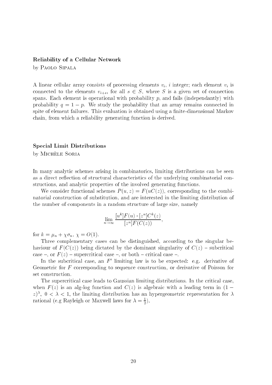### Reliability of a Cellular Network

by Paolo Sipala

A linear cellular array consists of processing elements  $v_i$ , i integer; each element  $v_i$  is connected to the elements  $v_{i+s}$ , for all  $s \in S$ , where S is a given set of connection spans. Each element is operational with probability  $p$ , and fails (independantly) with probability  $q = 1 - p$ . We study the probability that an array remains connected in spite of element failures. This evaluation is obtained using a finite-dimensional Markov chain, from which a reliability generating function is derived.

### Special Limit Distributions

by Michele Soria

In many analytic schemes arising in combinatorics, limiting distributions can be seen as a direct reflection of structural characteristics of the underlying combinatorial constructions, and analytic properties of the involved generating functions.

We consider functional schemes  $P(u, z) = F(uC(z))$ , corresponding to the combinatorial construction of substitution, and are interested in the limiting distribution of the number of components in a random structure of large size, namely

$$
\lim_{n \to \infty} \frac{[u^k]F(u) \cdot [z^n]C^k(z)}{[z^n]F(C(z))}
$$

for  $k = \mu_n + \chi \sigma_n$ ,  $\chi = O(1)$ .

Three complementary cases can be distinguished, according to the singular behaviour of  $F(C(z))$  being dictated by the dominant singularity of  $C(z)$  – subcritical case  $-$ , or  $F(z)$  - supercritical case  $-$ , or both  $-$  critical case  $-$ .

In the subcritical case, an  $F$  -himiting law is to be expected: e.g. derivative of Geometric for F corresponding to sequence construction, or derivative of Poisson for set construction.

The supercritical case leads to Gaussian limiting distributions. In the critical case, when  $F(z)$  is an alg-log function and  $C(z)$  is algebraic with a leading term in  $(1$  $z$ ),  $0 \le \lambda \le 1$ , the limiting distribution has an hypergeometric representation for  $\lambda$ rational (e.g Rayleigh or Maxwell laws for  $\lambda = \frac{1}{2}$ ).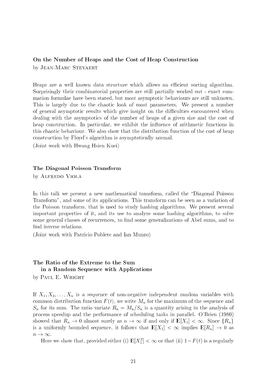### On the Number of Heaps and the Cost of Heap Construction by JEAN-MARC STEYAERT

Heaps are a well known data structure which allows an efficient sorting algorithm. Surprisingly their combinatorial properties are still partially worked out - exact summation formulae have been stated, but most asymptotic behaviours are still unknown. This is largely due to the chaotic look of most parameters. We present a number of general asymptotic results which give insight on the difficulties encountered when dealing with the asymptotics of the number of heaps of a given size and the cost of heap construction. In particular, we exhibit the influence of arithmetic functions in this chaotic behaviour. We also show that the distribution function of the cost of heap construction by Floyd's algorithm is asymptotically normal.

(Joint work with Hwang Hsien Kuei)

#### The Diagonal Poisson Transform

by Alfredo Viola

In this talk we present a new mathematical transform, called the "Diagonal Poisson Transform", and some of its applications. This transform can be seen as a variation of the Poisson transform, that is used to study hashing algorithms. We present several important properties of it, and its use to analyze some hashing algorithms, to solve some general classes of recurrences, to find some generalizations of Abel sums, and to find inverse relations.

(Joint work with Patricio Poblete and Ian Munro)

## The Ratio of the Extreme to the Sum in a Random Sequence with Applications

by PAUL E. WRIGHT

If  $X_1, X_2, \ldots, X_n$  is a sequence of non-negative independent random variables with common distribution function  $F(t)$ , we write  $M_n$  for the maximum of the sequence and  $S_n$  for its sum. The ratio variate  $R_n = M_n/S_n$  is a quantity arising in the analysis of process speedup and the performance of scheduling tasks in parallel. O'Brien (1980) showed that  $R_n \to 0$  almost surely as  $n \to \infty$  if and only if  $E[X_1] < \infty$ . Since  $\{R_n\}$ is a uniformly bounded sequence, it follows that  $\mathbb{E}[X_1] < \infty$  implies  $\mathbb{E}[R_n] \to 0$  as  $n \to \infty$ .

Here we show that, provided either (i)  $\mathbf{E}[X_1] < \infty$  or that (ii)  $1-r$  (t) is a regularly